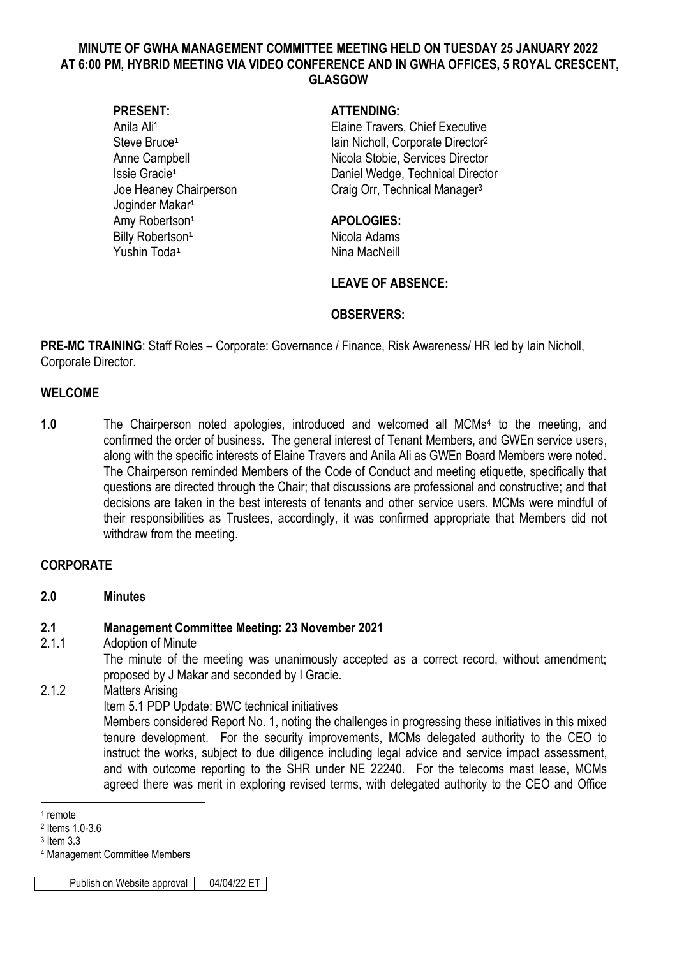# **MINUTE OF GWHA MANAGEMENT COMMITTEE MEETING HELD ON TUESDAY 25 JANUARY 2022 AT 6:00 PM, HYBRID MEETING VIA VIDEO CONFERENCE AND IN GWHA OFFICES, 5 ROYAL CRESCENT, GLASGOW**

Steve Bruce**<sup>1</sup>** Joginder Makar**<sup>1</sup>** Amy Robertson**<sup>1</sup> APOLOGIES:** Billy Robertson<sup>1</sup> Nicola Adams Yushin Toda**<sup>1</sup>**

#### **PRESENT: ATTENDING:**

Anila Ali<sup>1</sup> Elaine Travers, Chief Executive Iain Nicholl, Corporate Director<sup>2</sup> Anne Campbell **Nicola Stobie, Services Director** Issie Gracie**<sup>1</sup>** Daniel Wedge, Technical Director Joe Heaney Chairperson Craig Orr, Technical Manager<sup>3</sup>

Nina MacNeill

# **LEAVE OF ABSENCE:**

# **OBSERVERS:**

**PRE-MC TRAINING:** Staff Roles – Corporate: Governance / Finance, Risk Awareness/ HR led by Iain Nicholl, Corporate Director.

# **WELCOME**

1.0 The Chairperson noted apologies, introduced and welcomed all MCMs<sup>4</sup> to the meeting, and confirmed the order of business. The general interest of Tenant Members, and GWEn service users, along with the specific interests of Elaine Travers and Anila Ali as GWEn Board Members were noted. The Chairperson reminded Members of the Code of Conduct and meeting etiquette, specifically that questions are directed through the Chair; that discussions are professional and constructive; and that decisions are taken in the best interests of tenants and other service users. MCMs were mindful of their responsibilities as Trustees, accordingly, it was confirmed appropriate that Members did not withdraw from the meeting.

# **CORPORATE**

#### **2.0 Minutes**

# **2.1 Management Committee Meeting: 23 November 2021**

#### 2.1.1 Adoption of Minute

The minute of the meeting was unanimously accepted as a correct record, without amendment; proposed by J Makar and seconded by I Gracie.

# 2.1.2 Matters Arising

Item 5.1 PDP Update: BWC technical initiatives

Members considered Report No. 1, noting the challenges in progressing these initiatives in this mixed tenure development. For the security improvements, MCMs delegated authority to the CEO to instruct the works, subject to due diligence including legal advice and service impact assessment, and with outcome reporting to the SHR under NE 22240. For the telecoms mast lease, MCMs agreed there was merit in exploring revised terms, with delegated authority to the CEO and Office

1

<sup>4</sup> Management Committee Members

Publish on Website approval 04/04/22 ET

<sup>1</sup> remote

<sup>2</sup> Items 1.0-3.6

<sup>3</sup> Item 3.3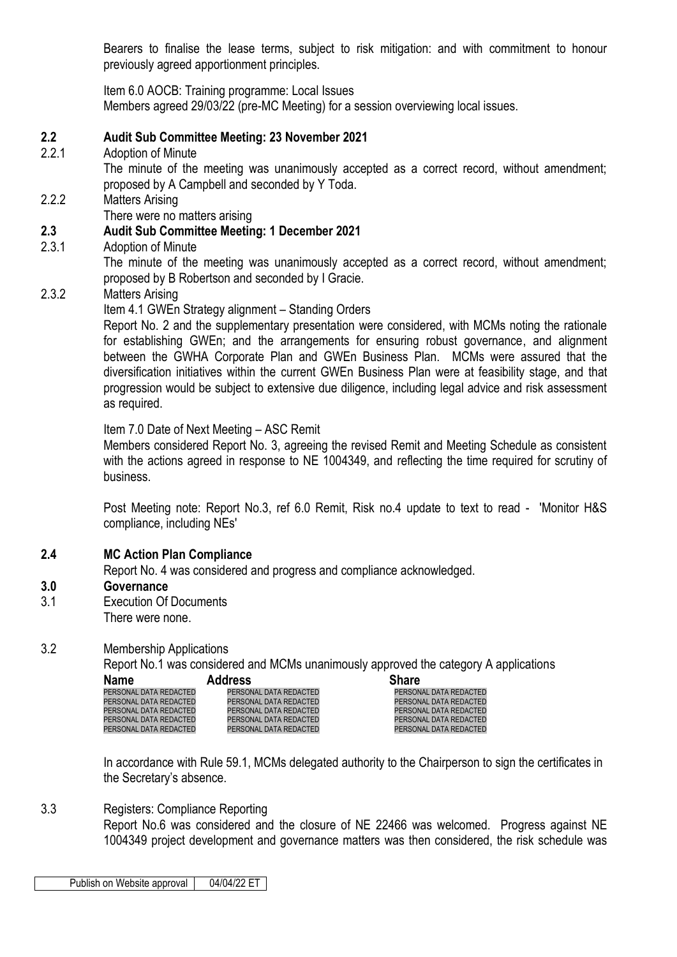Bearers to finalise the lease terms, subject to risk mitigation: and with commitment to honour previously agreed apportionment principles.

Item 6.0 AOCB: Training programme: Local Issues Members agreed 29/03/22 (pre-MC Meeting) for a session overviewing local issues.

# **2.2 Audit Sub Committee Meeting: 23 November 2021**

2.2.1 Adoption of Minute

The minute of the meeting was unanimously accepted as a correct record, without amendment; proposed by A Campbell and seconded by Y Toda.

#### 2.2.2 Matters Arising

There were no matters arising

# **2.3 Audit Sub Committee Meeting: 1 December 2021**

2.3.1 Adoption of Minute

The minute of the meeting was unanimously accepted as a correct record, without amendment; proposed by B Robertson and seconded by I Gracie.

# 2.3.2 Matters Arising

Item 4.1 GWEn Strategy alignment – Standing Orders

Report No. 2 and the supplementary presentation were considered, with MCMs noting the rationale for establishing GWEn; and the arrangements for ensuring robust governance, and alignment between the GWHA Corporate Plan and GWEn Business Plan. MCMs were assured that the diversification initiatives within the current GWEn Business Plan were at feasibility stage, and that progression would be subject to extensive due diligence, including legal advice and risk assessment as required.

#### Item 7.0 Date of Next Meeting – ASC Remit

Members considered Report No. 3, agreeing the revised Remit and Meeting Schedule as consistent with the actions agreed in response to NE 1004349, and reflecting the time required for scrutiny of business.

Post Meeting note: Report No.3, ref 6.0 Remit, Risk no.4 update to text to read - 'Monitor H&S compliance, including NEs'

#### **2.4 MC Action Plan Compliance**

Report No. 4 was considered and progress and compliance acknowledged.

#### **3.0 Governance**

3.1 Execution Of Documents There were none.

# 3.2 Membership Applications

Report No.1 was considered and MCMs unanimously approved the category A applications

| <b>Name</b>            | <b>Address</b>         | <b>Share</b>           |
|------------------------|------------------------|------------------------|
| PERSONAL DATA REDACTED | PERSONAL DATA REDACTED | PERSONAL DATA REDACTED |
| PERSONAL DATA REDACTED | PERSONAL DATA REDACTED | PERSONAL DATA REDACTED |
| PERSONAL DATA REDACTED | PERSONAL DATA REDACTED | PERSONAL DATA REDACTED |
| PERSONAL DATA REDACTED | PERSONAL DATA REDACTED | PERSONAL DATA REDACTED |
| PERSONAL DATA REDACTED | PERSONAL DATA REDACTED | PERSONAL DATA REDACTED |

In accordance with Rule 59.1, MCMs delegated authority to the Chairperson to sign the certificates in the Secretary's absence.

#### 3.3 Registers: Compliance Reporting

Report No.6 was considered and the closure of NE 22466 was welcomed. Progress against NE 1004349 project development and governance matters was then considered, the risk schedule was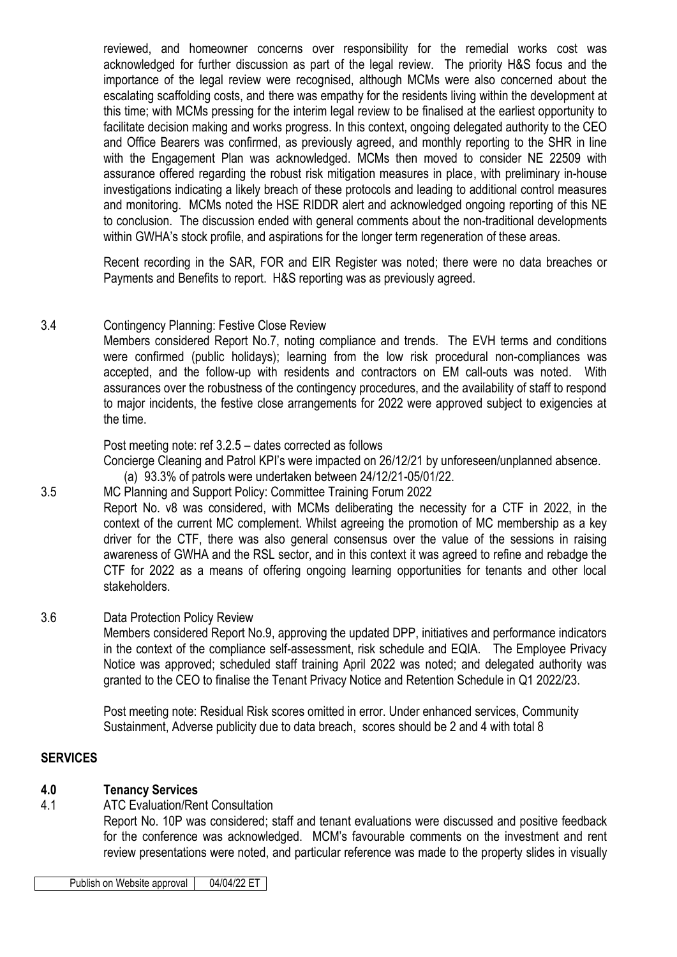reviewed, and homeowner concerns over responsibility for the remedial works cost was acknowledged for further discussion as part of the legal review. The priority H&S focus and the importance of the legal review were recognised, although MCMs were also concerned about the escalating scaffolding costs, and there was empathy for the residents living within the development at this time; with MCMs pressing for the interim legal review to be finalised at the earliest opportunity to facilitate decision making and works progress. In this context, ongoing delegated authority to the CEO and Office Bearers was confirmed, as previously agreed, and monthly reporting to the SHR in line with the Engagement Plan was acknowledged. MCMs then moved to consider NE 22509 with assurance offered regarding the robust risk mitigation measures in place, with preliminary in-house investigations indicating a likely breach of these protocols and leading to additional control measures and monitoring. MCMs noted the HSE RIDDR alert and acknowledged ongoing reporting of this NE to conclusion. The discussion ended with general comments about the non-traditional developments within GWHA's stock profile, and aspirations for the longer term regeneration of these areas.

Recent recording in the SAR, FOR and EIR Register was noted; there were no data breaches or Payments and Benefits to report. H&S reporting was as previously agreed.

# 3.4 Contingency Planning: Festive Close Review

Members considered Report No.7, noting compliance and trends. The EVH terms and conditions were confirmed (public holidays); learning from the low risk procedural non-compliances was accepted, and the follow-up with residents and contractors on EM call-outs was noted. With assurances over the robustness of the contingency procedures, and the availability of staff to respond to major incidents, the festive close arrangements for 2022 were approved subject to exigencies at the time.

Post meeting note: ref 3.2.5 – dates corrected as follows

Concierge Cleaning and Patrol KPI's were impacted on 26/12/21 by unforeseen/unplanned absence.

- (a) 93.3% of patrols were undertaken between 24/12/21-05/01/22.
- 3.5 MC Planning and Support Policy: Committee Training Forum 2022

Report No. v8 was considered, with MCMs deliberating the necessity for a CTF in 2022, in the context of the current MC complement. Whilst agreeing the promotion of MC membership as a key driver for the CTF, there was also general consensus over the value of the sessions in raising awareness of GWHA and the RSL sector, and in this context it was agreed to refine and rebadge the CTF for 2022 as a means of offering ongoing learning opportunities for tenants and other local stakeholders.

#### 3.6 Data Protection Policy Review

Members considered Report No.9, approving the updated DPP, initiatives and performance indicators in the context of the compliance self-assessment, risk schedule and EQIA. The Employee Privacy Notice was approved; scheduled staff training April 2022 was noted; and delegated authority was granted to the CEO to finalise the Tenant Privacy Notice and Retention Schedule in Q1 2022/23.

Post meeting note: Residual Risk scores omitted in error. Under enhanced services, Community Sustainment, Adverse publicity due to data breach, scores should be 2 and 4 with total 8

#### **SERVICES**

# **4.0 Tenancy Services**

4.1 ATC Evaluation/Rent Consultation

Report No. 10P was considered; staff and tenant evaluations were discussed and positive feedback for the conference was acknowledged. MCM's favourable comments on the investment and rent review presentations were noted, and particular reference was made to the property slides in visually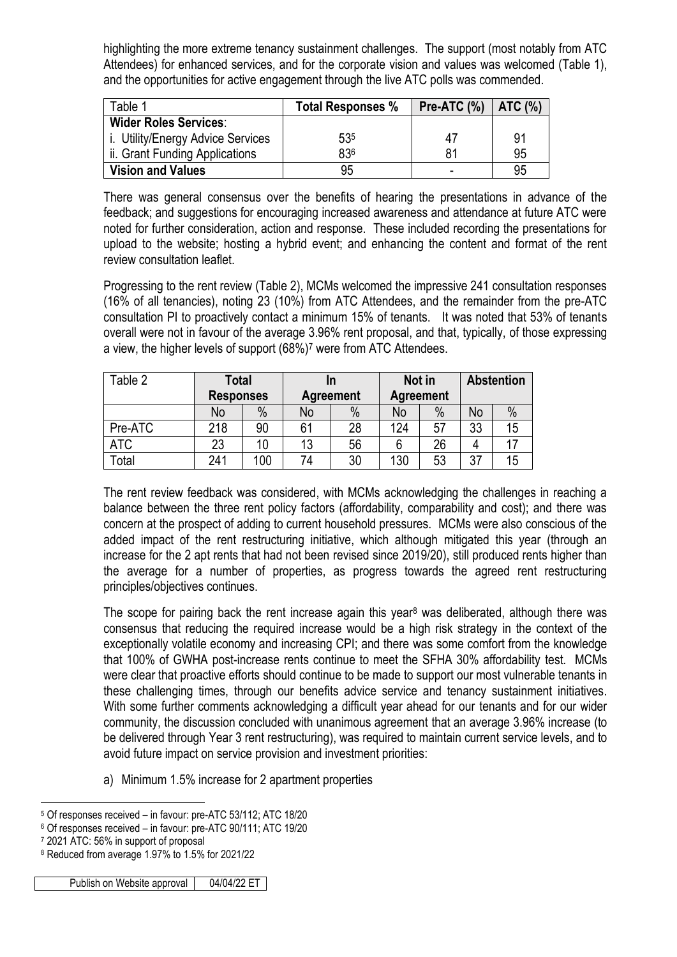highlighting the more extreme tenancy sustainment challenges. The support (most notably from ATC Attendees) for enhanced services, and for the corporate vision and values was welcomed (Table 1), and the opportunities for active engagement through the live ATC polls was commended.

| Table 1                           | <b>Total Responses %</b> | Pre-ATC $(\%)$   ATC $(\%)$ |    |
|-----------------------------------|--------------------------|-----------------------------|----|
| <b>Wider Roles Services:</b>      |                          |                             |    |
| i. Utility/Energy Advice Services | 535                      | 47                          | 91 |
| ii. Grant Funding Applications    | 836                      | 81                          | 95 |
| <b>Vision and Values</b>          | 95                       | -                           | 95 |

There was general consensus over the benefits of hearing the presentations in advance of the feedback; and suggestions for encouraging increased awareness and attendance at future ATC were noted for further consideration, action and response. These included recording the presentations for upload to the website; hosting a hybrid event; and enhancing the content and format of the rent review consultation leaflet.

Progressing to the rent review (Table 2), MCMs welcomed the impressive 241 consultation responses (16% of all tenancies), noting 23 (10%) from ATC Attendees, and the remainder from the pre-ATC consultation PI to proactively contact a minimum 15% of tenants. It was noted that 53% of tenants overall were not in favour of the average 3.96% rent proposal, and that, typically, of those expressing a view, the higher levels of support (68%)<sup>7</sup> were from ATC Attendees.

| Table 2    | Total<br><b>Responses</b> |      | In<br><b>Agreement</b> |      | Not in<br><b>Agreement</b> |      | <b>Abstention</b> |      |
|------------|---------------------------|------|------------------------|------|----------------------------|------|-------------------|------|
|            | No                        | $\%$ | No                     | $\%$ | No                         | $\%$ | No                | $\%$ |
| Pre-ATC    | 218                       | 90   | 61                     | 28   | 124                        | 57   | 33                | 15   |
| <b>ATC</b> | 23                        | 10   | 13                     | 56   |                            | 26   |                   |      |
| Total      | 241                       | 100  | 74                     | 30   | 130                        | 53   | 37                | 15   |

The rent review feedback was considered, with MCMs acknowledging the challenges in reaching a balance between the three rent policy factors (affordability, comparability and cost); and there was concern at the prospect of adding to current household pressures. MCMs were also conscious of the added impact of the rent restructuring initiative, which although mitigated this year (through an increase for the 2 apt rents that had not been revised since 2019/20), still produced rents higher than the average for a number of properties, as progress towards the agreed rent restructuring principles/objectives continues.

The scope for pairing back the rent increase again this year<sup>8</sup> was deliberated, although there was consensus that reducing the required increase would be a high risk strategy in the context of the exceptionally volatile economy and increasing CPI; and there was some comfort from the knowledge that 100% of GWHA post-increase rents continue to meet the SFHA 30% affordability test. MCMs were clear that proactive efforts should continue to be made to support our most vulnerable tenants in these challenging times, through our benefits advice service and tenancy sustainment initiatives. With some further comments acknowledging a difficult year ahead for our tenants and for our wider community, the discussion concluded with unanimous agreement that an average 3.96% increase (to be delivered through Year 3 rent restructuring), was required to maintain current service levels, and to avoid future impact on service provision and investment priorities:

a) Minimum 1.5% increase for 2 apartment properties

<sup>1</sup> <sup>5</sup> Of responses received – in favour: pre-ATC 53/112; ATC 18/20

<sup>6</sup> Of responses received – in favour: pre-ATC 90/111; ATC 19/20

<sup>7</sup> 2021 ATC: 56% in support of proposal

<sup>8</sup> Reduced from average 1.97% to 1.5% for 2021/22